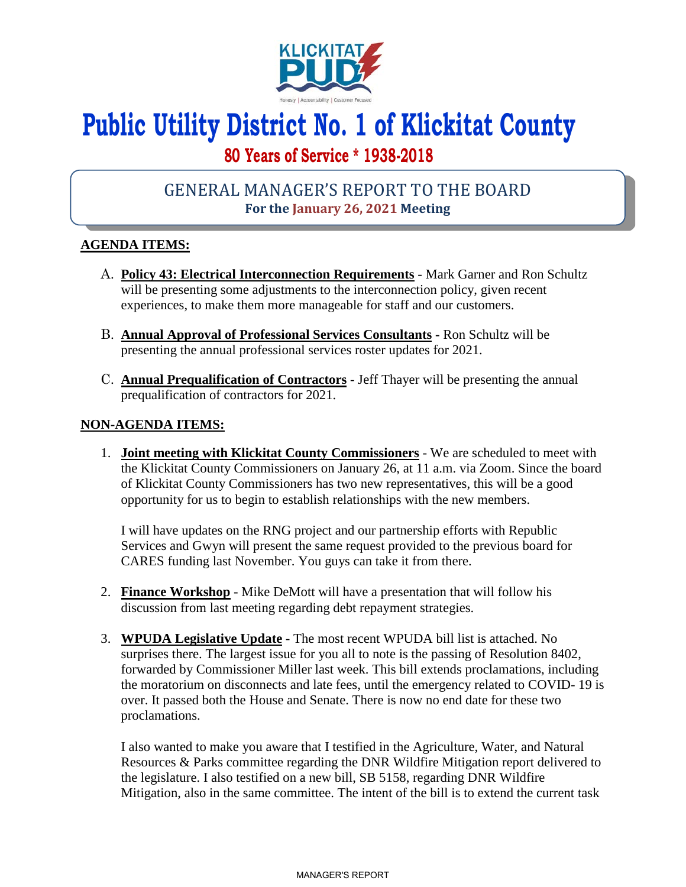

# **Public Utility District No. 1 of Klickitat County**

## **80 Years of Service \* 1938-2018**

## GENERAL MANAGER'S REPORT TO THE BOARD **For the January 26, 2021 Meeting**

### **AGENDA ITEMS:**

- A. **Policy 43: Electrical Interconnection Requirements** Mark Garner and Ron Schultz will be presenting some adjustments to the interconnection policy, given recent experiences, to make them more manageable for staff and our customers.
- B. **Annual Approval of Professional Services Consultants** Ron Schultz will be presenting the annual professional services roster updates for 2021.
- C. **Annual Prequalification of Contractors**  Jeff Thayer will be presenting the annual prequalification of contractors for 2021.

#### **NON-AGENDA ITEMS:**

1. **Joint meeting with Klickitat County Commissioners** - We are scheduled to meet with the Klickitat County Commissioners on January 26, at 11 a.m. via Zoom. Since the board of Klickitat County Commissioners has two new representatives, this will be a good opportunity for us to begin to establish relationships with the new members.

I will have updates on the RNG project and our partnership efforts with Republic Services and Gwyn will present the same request provided to the previous board for CARES funding last November. You guys can take it from there.

- 2. **Finance Workshop** Mike DeMott will have a presentation that will follow his discussion from last meeting regarding debt repayment strategies.
- 3. **WPUDA Legislative Update** The most recent WPUDA bill list is attached. No surprises there. The largest issue for you all to note is the passing of Resolution 8402, forwarded by Commissioner Miller last week. This bill extends proclamations, including the moratorium on disconnects and late fees, until the emergency related to COVID- 19 is over. It passed both the House and Senate. There is now no end date for these two proclamations.

I also wanted to make you aware that I testified in the Agriculture, Water, and Natural Resources & Parks committee regarding the DNR Wildfire Mitigation report delivered to the legislature. I also testified on a new bill, SB 5158, regarding DNR Wildfire Mitigation, also in the same committee. The intent of the bill is to extend the current task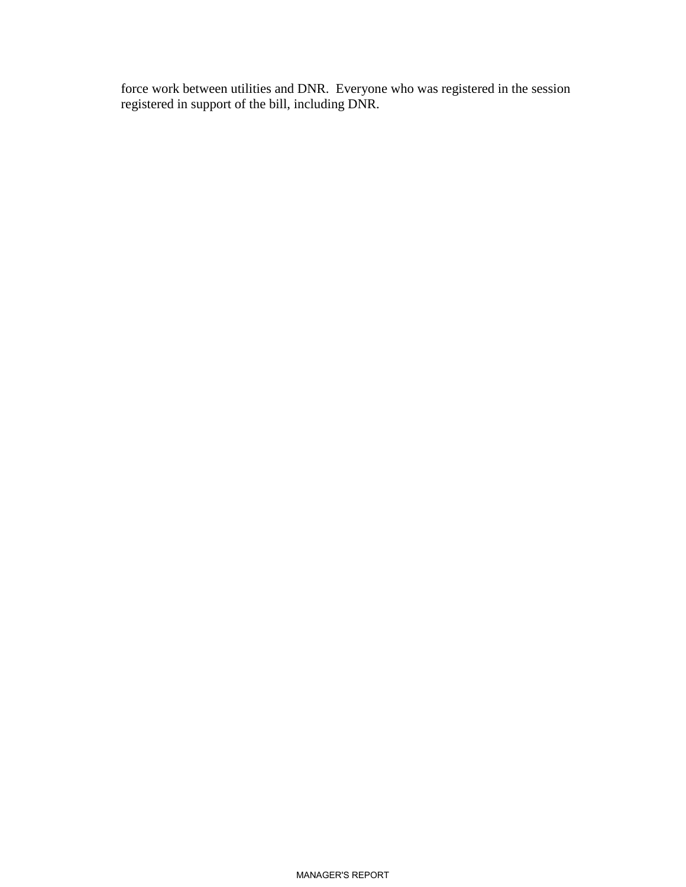force work between utilities and DNR. Everyone who was registered in the session registered in support of the bill, including DNR.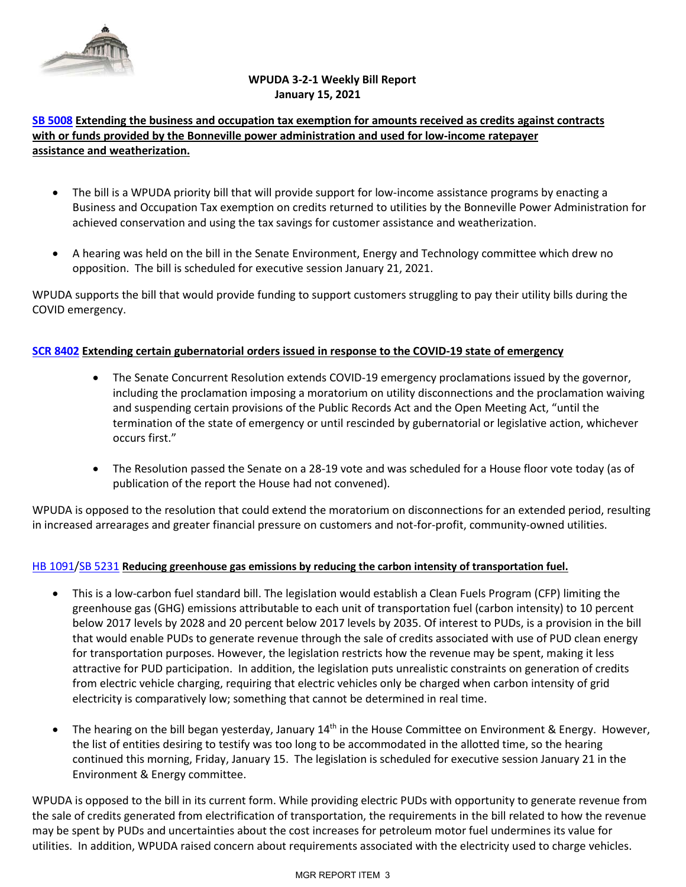

#### **WPUDA 3-2-1 Weekly Bill Report January 15, 2021**

#### **[SB 5008](https://app.leg.wa.gov/billsummary?BillNumber=5008&Initiative=false&Year=2021) Extending the business and occupation tax exemption for amounts received as credits against contracts with or funds provided by the Bonneville power administration and used for low-income ratepayer assistance and weatherization.**

- The bill is a WPUDA priority bill that will provide support for low-income assistance programs by enacting a Business and Occupation Tax exemption on credits returned to utilities by the Bonneville Power Administration for achieved conservation and using the tax savings for customer assistance and weatherization.
- A hearing was held on the bill in the Senate Environment, Energy and Technology committee which drew no opposition. The bill is scheduled for executive session January 21, 2021.

WPUDA supports the bill that would provide funding to support customers struggling to pay their utility bills during the COVID emergency.

#### **[SCR 8402](https://app.leg.wa.gov/billsummary?BillNumber=8402&Year=2021&Initiative=false) Extending certain gubernatorial orders issued in response to the COVID-19 state of emergency**

- The Senate Concurrent Resolution extends COVID-19 emergency proclamations issued by the governor, including the proclamation imposing a moratorium on utility disconnections and the proclamation waiving and suspending certain provisions of the Public Records Act and the Open Meeting Act, "until the termination of the state of emergency or until rescinded by gubernatorial or legislative action, whichever occurs first."
- The Resolution passed the Senate on a 28-19 vote and was scheduled for a House floor vote today (as of publication of the report the House had not convened).

WPUDA is opposed to the resolution that could extend the moratorium on disconnections for an extended period, resulting in increased arrearages and greater financial pressure on customers and not-for-profit, community-owned utilities.

#### [HB 1091](https://app.leg.wa.gov/billsummary?BillNumber=1091&Initiative=false&Year=2021)[/SB 5231](https://app.leg.wa.gov/billsummary?BillNumber=5231&Initiative=false&Year=2021) **Reducing greenhouse gas emissions by reducing the carbon intensity of transportation fuel.**

- This is a low-carbon fuel standard bill. The legislation would establish a Clean Fuels Program (CFP) limiting the greenhouse gas (GHG) emissions attributable to each unit of transportation fuel (carbon intensity) to 10 percent below 2017 levels by 2028 and 20 percent below 2017 levels by 2035. Of interest to PUDs, is a provision in the bill that would enable PUDs to generate revenue through the sale of credits associated with use of PUD clean energy for transportation purposes. However, the legislation restricts how the revenue may be spent, making it less attractive for PUD participation. In addition, the legislation puts unrealistic constraints on generation of credits from electric vehicle charging, requiring that electric vehicles only be charged when carbon intensity of grid electricity is comparatively low; something that cannot be determined in real time.
- The hearing on the bill began yesterday, January 14<sup>th</sup> in the House Committee on Environment & Energy. However, the list of entities desiring to testify was too long to be accommodated in the allotted time, so the hearing continued this morning, Friday, January 15. The legislation is scheduled for executive session January 21 in the Environment & Energy committee.

WPUDA is opposed to the bill in its current form. While providing electric PUDs with opportunity to generate revenue from the sale of credits generated from electrification of transportation, the requirements in the bill related to how the revenue may be spent by PUDs and uncertainties about the cost increases for petroleum motor fuel undermines its value for utilities. In addition, WPUDA raised concern about requirements associated with the electricity used to charge vehicles.

#### MGR REPORT ITEM 3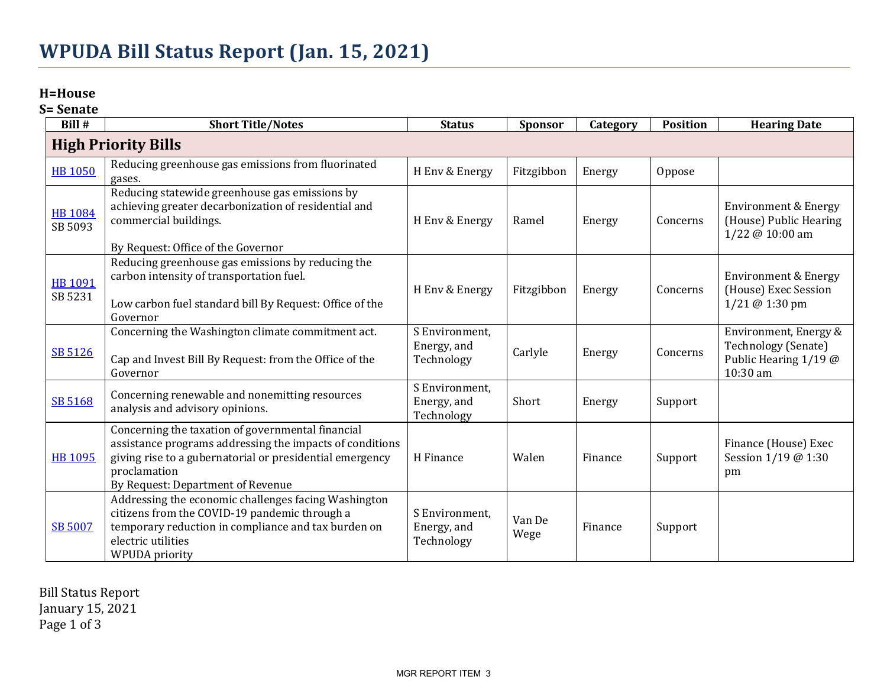## **H=House**

**S= Senate**

| Bill #                     | <b>Short Title/Notes</b>                                                                                                                                                                                                       | <b>Status</b>                               | Sponsor        | Category | <b>Position</b> | <b>Hearing Date</b>                                                               |  |
|----------------------------|--------------------------------------------------------------------------------------------------------------------------------------------------------------------------------------------------------------------------------|---------------------------------------------|----------------|----------|-----------------|-----------------------------------------------------------------------------------|--|
| <b>High Priority Bills</b> |                                                                                                                                                                                                                                |                                             |                |          |                 |                                                                                   |  |
| <b>HB 1050</b>             | Reducing greenhouse gas emissions from fluorinated<br>gases.                                                                                                                                                                   | H Env & Energy                              | Fitzgibbon     | Energy   | Oppose          |                                                                                   |  |
| <b>HB 1084</b><br>SB 5093  | Reducing statewide greenhouse gas emissions by<br>achieving greater decarbonization of residential and<br>commercial buildings.<br>By Request: Office of the Governor                                                          | H Env & Energy                              | Ramel          | Energy   | Concerns        | <b>Environment &amp; Energy</b><br>(House) Public Hearing<br>1/22 @ 10:00 am      |  |
| HB 1091<br>SB 5231         | Reducing greenhouse gas emissions by reducing the<br>carbon intensity of transportation fuel.<br>Low carbon fuel standard bill By Request: Office of the<br>Governor                                                           | H Env & Energy                              | Fitzgibbon     | Energy   | Concerns        | <b>Environment &amp; Energy</b><br>(House) Exec Session<br>1/21 @ 1:30 pm         |  |
| SB 5126                    | Concerning the Washington climate commitment act.<br>Cap and Invest Bill By Request: from the Office of the<br>Governor                                                                                                        | S Environment.<br>Energy, and<br>Technology | Carlyle        | Energy   | Concerns        | Environment, Energy &<br>Technology (Senate)<br>Public Hearing 1/19 @<br>10:30 am |  |
| SB 5168                    | Concerning renewable and nonemitting resources<br>analysis and advisory opinions.                                                                                                                                              | S Environment.<br>Energy, and<br>Technology | Short          | Energy   | Support         |                                                                                   |  |
| <b>HB 1095</b>             | Concerning the taxation of governmental financial<br>assistance programs addressing the impacts of conditions<br>giving rise to a gubernatorial or presidential emergency<br>proclamation<br>By Request: Department of Revenue | H Finance                                   | Walen          | Finance  | Support         | Finance (House) Exec<br>Session 1/19 @ 1:30<br>pm                                 |  |
| <b>SB 5007</b>             | Addressing the economic challenges facing Washington<br>citizens from the COVID-19 pandemic through a<br>temporary reduction in compliance and tax burden on<br>electric utilities<br><b>WPUDA</b> priority                    | S Environment,<br>Energy, and<br>Technology | Van De<br>Wege | Finance  | Support         |                                                                                   |  |

Bill Status Report January 15, 2021 Page 1 of 3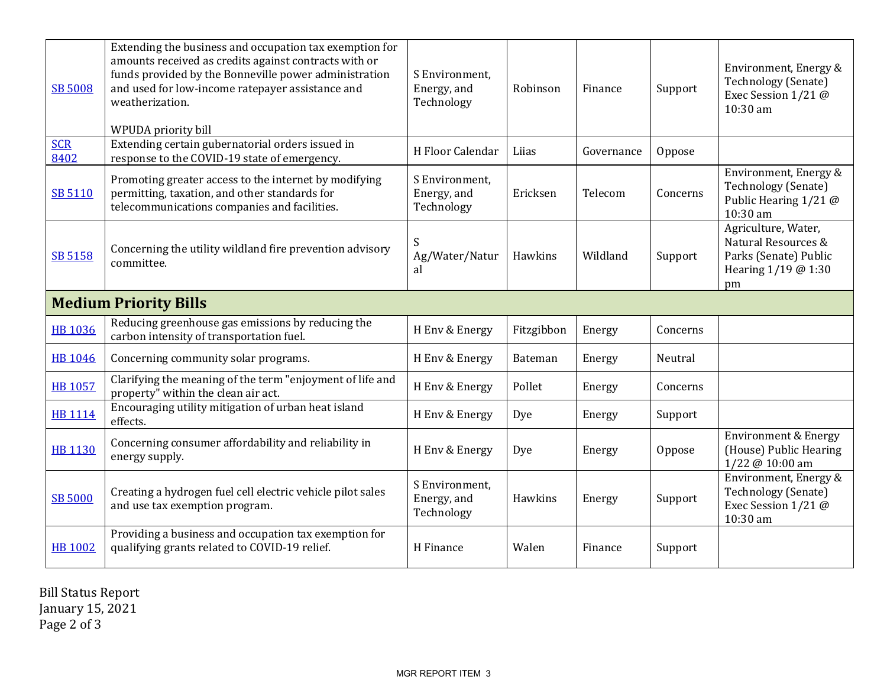| <b>SB 5008</b>               | Extending the business and occupation tax exemption for<br>amounts received as credits against contracts with or<br>funds provided by the Bonneville power administration<br>and used for low-income ratepayer assistance and<br>weatherization.<br>WPUDA priority bill | S Environment,<br>Energy, and<br>Technology | Robinson       | Finance    | Support  | Environment, Energy &<br><b>Technology (Senate)</b><br>Exec Session 1/21 @<br>10:30 am           |  |
|------------------------------|-------------------------------------------------------------------------------------------------------------------------------------------------------------------------------------------------------------------------------------------------------------------------|---------------------------------------------|----------------|------------|----------|--------------------------------------------------------------------------------------------------|--|
| <b>SCR</b><br>8402           | Extending certain gubernatorial orders issued in<br>response to the COVID-19 state of emergency.                                                                                                                                                                        | H Floor Calendar                            | Liias          | Governance | Oppose   |                                                                                                  |  |
| SB 5110                      | Promoting greater access to the internet by modifying<br>permitting, taxation, and other standards for<br>telecommunications companies and facilities.                                                                                                                  | S Environment,<br>Energy, and<br>Technology | Ericksen       | Telecom    | Concerns | Environment, Energy &<br>Technology (Senate)<br>Public Hearing 1/21 @<br>10:30 am                |  |
| SB 5158                      | Concerning the utility wildland fire prevention advisory<br>committee.                                                                                                                                                                                                  | S<br>Ag/Water/Natur<br>al                   | Hawkins        | Wildland   | Support  | Agriculture, Water,<br>Natural Resources &<br>Parks (Senate) Public<br>Hearing 1/19 @ 1:30<br>pm |  |
| <b>Medium Priority Bills</b> |                                                                                                                                                                                                                                                                         |                                             |                |            |          |                                                                                                  |  |
| <b>HB 1036</b>               | Reducing greenhouse gas emissions by reducing the<br>carbon intensity of transportation fuel.                                                                                                                                                                           | H Env & Energy                              | Fitzgibbon     | Energy     | Concerns |                                                                                                  |  |
| <b>HB 1046</b>               | Concerning community solar programs.                                                                                                                                                                                                                                    | H Env & Energy                              | <b>Bateman</b> | Energy     | Neutral  |                                                                                                  |  |
| HB 1057                      | Clarifying the meaning of the term "enjoyment of life and<br>property" within the clean air act.                                                                                                                                                                        | H Env & Energy                              | Pollet         | Energy     | Concerns |                                                                                                  |  |
| <b>HB 1114</b>               | Encouraging utility mitigation of urban heat island<br>effects.                                                                                                                                                                                                         | H Env & Energy                              | Dye            | Energy     | Support  |                                                                                                  |  |
| <b>HB 1130</b>               | Concerning consumer affordability and reliability in<br>energy supply.                                                                                                                                                                                                  | H Env & Energy                              | Dye            | Energy     | Oppose   | <b>Environment &amp; Energy</b><br>(House) Public Hearing<br>1/22 @ 10:00 am                     |  |
| <b>SB 5000</b>               | Creating a hydrogen fuel cell electric vehicle pilot sales<br>and use tax exemption program.                                                                                                                                                                            | S Environment,<br>Energy, and<br>Technology | Hawkins        | Energy     | Support  | Environment, Energy &<br>Technology (Senate)<br>Exec Session 1/21 @<br>10:30 am                  |  |
| <b>HB 1002</b>               | Providing a business and occupation tax exemption for<br>qualifying grants related to COVID-19 relief.                                                                                                                                                                  | H Finance                                   | Walen          | Finance    | Support  |                                                                                                  |  |

Bill Status Report January 15, 2021 Page 2 of 3